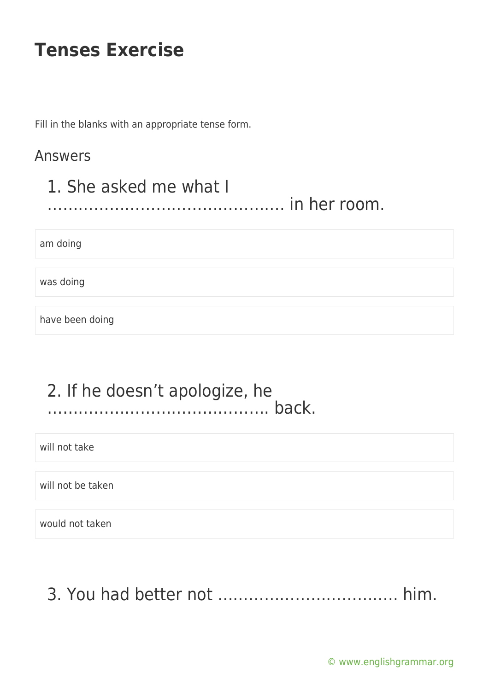Fill in the blanks with an appropriate tense form.

#### Answers

#### 1. She asked me what I ………………………………………. in her room.

am doing

was doing

have been doing

#### 2. If he doesn't apologize, he ……………………………………. back.

will not take

will not be taken

would not taken

3. You had better not …………………………….. him.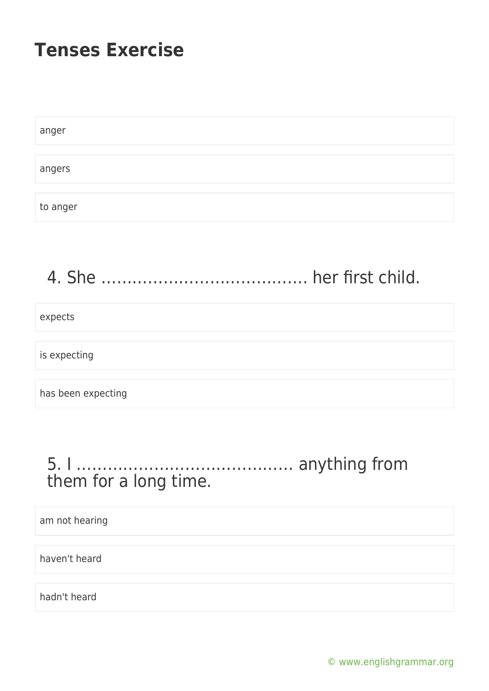| anger    |  |  |  |
|----------|--|--|--|
|          |  |  |  |
| angers   |  |  |  |
|          |  |  |  |
| to anger |  |  |  |

# 4. She …………………………………. her first child.

expects

is expecting

has been expecting

#### 5. I …………………………………… anything from them for a long time.

am not hearing

haven't heard

hadn't heard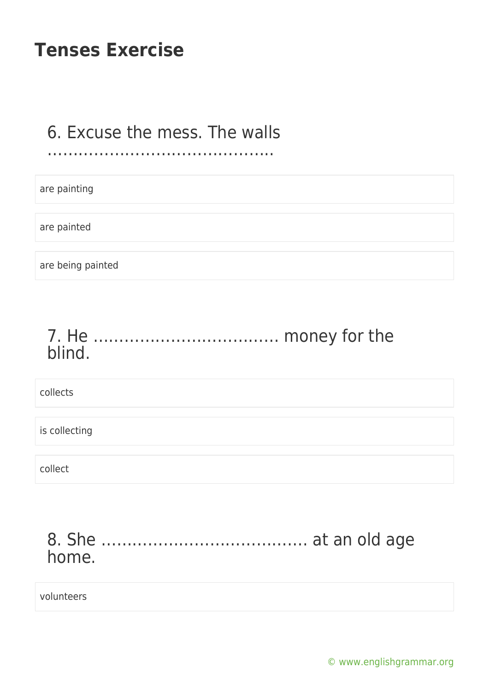#### 6. Excuse the mess. The walls ……………………………………..

are painting

are painted

are being painted

#### 7. He ……………………………… money for the blind.

collects

is collecting

collect

### 8. She …………………………………. at an old age home.

volunteers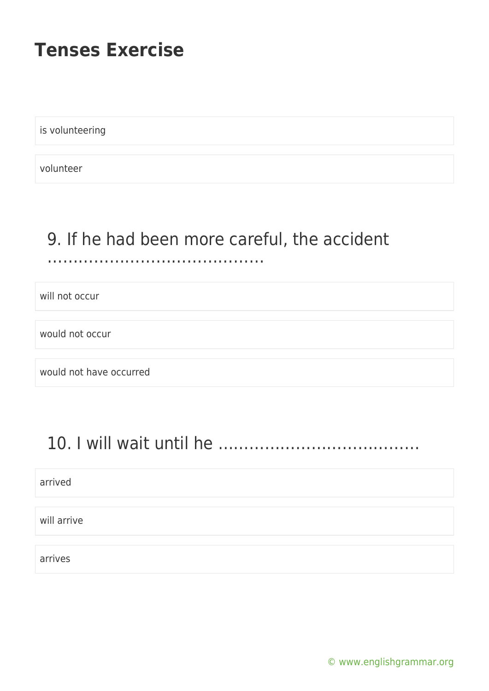is volunteering

volunteer

# 9. If he had been more careful, the accident

#### ……………………………

will not occur

would not occur

would not have occurred

# 10. I will wait until he …………………………………

arrived

will arrive

arrives

[© www.englishgrammar.org](https://www.englishgrammar.org/)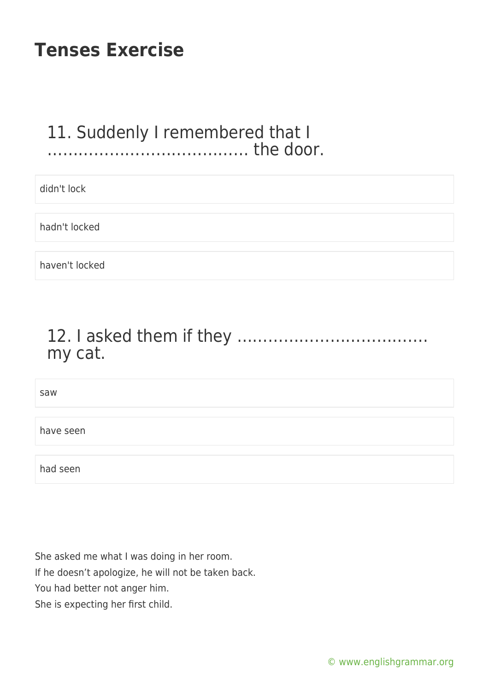#### 11. Suddenly I remembered that I ………………………………… the door.

| didn't lock    |
|----------------|
|                |
| hadn't locked  |
|                |
| haven't locked |

## 12. I asked them if they ………………………………. my cat.

saw have seen had seen

She asked me what I was doing in her room.

If he doesn't apologize, he will not be taken back.

You had better not anger him.

She is expecting her first child.